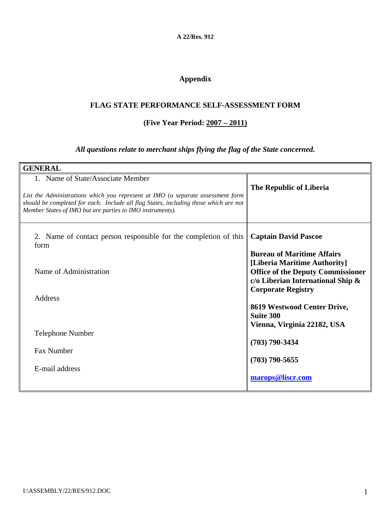**A 22/Res. 912** 

# **Appendix**

### **FLAG STATE PERFORMANCE SELF-ASSESSMENT FORM**

### **(Five Year Period: 2007 – 2011)**

## *All questions relate to merchant ships flying the flag of the State concerned.*

| <b>GENERAL</b>                                                                                                                                                                                                                                                            |                                                                                                                                                                                 |
|---------------------------------------------------------------------------------------------------------------------------------------------------------------------------------------------------------------------------------------------------------------------------|---------------------------------------------------------------------------------------------------------------------------------------------------------------------------------|
| 1. Name of State/Associate Member<br>List the Administrations which you represent at IMO (a separate assessment form<br>should be completed for each. Include all flag States, including those which are not<br>Member States of IMO but are parties to IMO instruments). | The Republic of Liberia                                                                                                                                                         |
| 2. Name of contact person responsible for the completion of this<br>form                                                                                                                                                                                                  | <b>Captain David Pascoe</b>                                                                                                                                                     |
| Name of Administration                                                                                                                                                                                                                                                    | <b>Bureau of Maritime Affairs</b><br>[Liberia Maritime Authority]<br><b>Office of the Deputy Commissioner</b><br>c/o Liberian International Ship &<br><b>Corporate Registry</b> |
| Address                                                                                                                                                                                                                                                                   | 8619 Westwood Center Drive,<br><b>Suite 300</b>                                                                                                                                 |
| <b>Telephone Number</b>                                                                                                                                                                                                                                                   | Vienna, Virginia 22182, USA<br>$(703)$ 790-3434                                                                                                                                 |
| <b>Fax Number</b><br>E-mail address                                                                                                                                                                                                                                       | $(703)$ 790-5655                                                                                                                                                                |
|                                                                                                                                                                                                                                                                           | marops@liscr.com                                                                                                                                                                |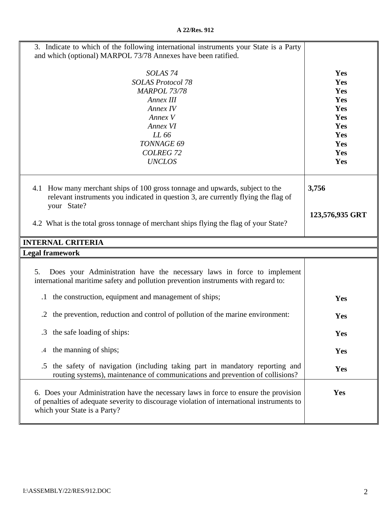| 3. Indicate to which of the following international instruments your State is a Party<br>and which (optional) MARPOL 73/78 Annexes have been ratified.                                                            |                                                                           |
|-------------------------------------------------------------------------------------------------------------------------------------------------------------------------------------------------------------------|---------------------------------------------------------------------------|
| SOLAS <sub>74</sub><br><b>SOLAS Protocol 78</b><br><b>MARPOL 73/78</b><br>Annex III<br>Annex IV<br>Annex V<br>Annex VI<br>LL 66<br>TONNAGE 69<br><b>COLREG 72</b><br><b>UNCLOS</b>                                | Yes<br>Yes<br>Yes<br>Yes<br>Yes<br>Yes<br>Yes<br>Yes<br>Yes<br>Yes<br>Yes |
| 4.1 How many merchant ships of 100 gross tonnage and upwards, subject to the<br>relevant instruments you indicated in question 3, are currently flying the flag of<br>your State?                                 | 3,756                                                                     |
| 4.2 What is the total gross tonnage of merchant ships flying the flag of your State?                                                                                                                              | 123,576,935 GRT                                                           |
| <b>INTERNAL CRITERIA</b>                                                                                                                                                                                          |                                                                           |
| <b>Legal framework</b>                                                                                                                                                                                            |                                                                           |
| Does your Administration have the necessary laws in force to implement<br>5.<br>international maritime safety and pollution prevention instruments with regard to:                                                |                                                                           |
| the construction, equipment and management of ships;<br>$\cdot$                                                                                                                                                   | Yes                                                                       |
| the prevention, reduction and control of pollution of the marine environment:<br>.2                                                                                                                               | Yes                                                                       |
| the safe loading of ships:<br>.3                                                                                                                                                                                  | Yes                                                                       |
| the manning of ships;<br>.4                                                                                                                                                                                       | Yes                                                                       |
| the safety of navigation (including taking part in mandatory reporting and<br>.5<br>routing systems), maintenance of communications and prevention of collisions?                                                 | Yes                                                                       |
| 6. Does your Administration have the necessary laws in force to ensure the provision<br>of penalties of adequate severity to discourage violation of international instruments to<br>which your State is a Party? | Yes                                                                       |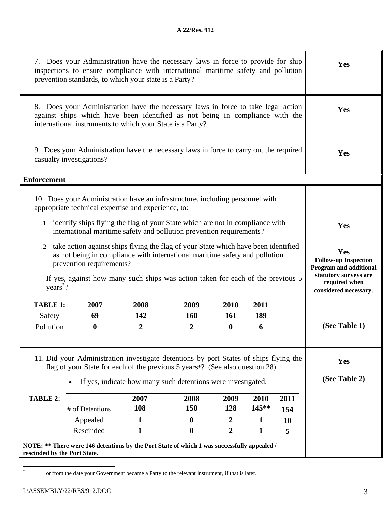|                                  |                                          | 7. Does your Administration have the necessary laws in force to provide for ship<br>inspections to ensure compliance with international maritime safety and pollution<br>prevention standards, to which your state is a Party?                                                                                               |                                 |                                 |                               |                   | Yes                                                                                                                                    |
|----------------------------------|------------------------------------------|------------------------------------------------------------------------------------------------------------------------------------------------------------------------------------------------------------------------------------------------------------------------------------------------------------------------------|---------------------------------|---------------------------------|-------------------------------|-------------------|----------------------------------------------------------------------------------------------------------------------------------------|
|                                  |                                          | 8. Does your Administration have the necessary laws in force to take legal action<br>against ships which have been identified as not being in compliance with the<br>international instruments to which your State is a Party?                                                                                               |                                 |                                 |                               |                   | Yes                                                                                                                                    |
|                                  | casualty investigations?                 | 9. Does your Administration have the necessary laws in force to carry out the required                                                                                                                                                                                                                                       |                                 |                                 |                               |                   | Yes                                                                                                                                    |
| <b>Enforcement</b>               |                                          |                                                                                                                                                                                                                                                                                                                              |                                 |                                 |                               |                   |                                                                                                                                        |
|                                  |                                          | 10. Does your Administration have an infrastructure, including personnel with<br>appropriate technical expertise and experience, to:<br>.1 identify ships flying the flag of your State which are not in compliance with                                                                                                     |                                 |                                 |                               |                   | Yes                                                                                                                                    |
| $\cdot$ 2<br>years <sup>*?</sup> | prevention requirements?                 | international maritime safety and pollution prevention requirements?<br>take action against ships flying the flag of your State which have been identified<br>as not being in compliance with international maritime safety and pollution<br>If yes, against how many such ships was action taken for each of the previous 5 |                                 |                                 |                               |                   | Yes<br><b>Follow-up Inspection</b><br><b>Program and additional</b><br>statutory surveys are<br>required when<br>considered necessary. |
| <b>TABLE 1:</b>                  | 2007                                     | 2008                                                                                                                                                                                                                                                                                                                         | 2009                            | 2010                            | 2011                          |                   |                                                                                                                                        |
| Safety                           | 69                                       | 142                                                                                                                                                                                                                                                                                                                          | 160                             | 161                             | 189                           |                   |                                                                                                                                        |
| Pollution                        | $\boldsymbol{0}$                         | 2                                                                                                                                                                                                                                                                                                                            | $\boldsymbol{2}$                | 0                               | 6                             |                   | (See Table 1)                                                                                                                          |
| TABLE 2:                         | $\bullet$<br># of Detentions<br>Appealed | 11. Did your Administration investigate detentions by port States of ships flying the<br>flag of your State for each of the previous 5 years*? (See also question 28)<br>If yes, indicate how many such detentions were investigated.<br>2007<br>108<br>$\mathbf{1}$                                                         | 2008<br>150<br>$\boldsymbol{0}$ | 2009<br>128<br>$\boldsymbol{2}$ | 2010<br>145**<br>$\mathbf{1}$ | 2011<br>154<br>10 | Yes<br>(See Table 2)                                                                                                                   |
|                                  | Rescinded                                | $\mathbf{1}$                                                                                                                                                                                                                                                                                                                 | $\boldsymbol{0}$                | $\overline{2}$                  | $\mathbf{1}$                  | 5                 |                                                                                                                                        |
| rescinded by the Port State.     |                                          | NOTE: ** There were 146 detentions by the Port State of which 1 was successfully appealed /                                                                                                                                                                                                                                  |                                 |                                 |                               |                   |                                                                                                                                        |

\*

or from the date your Government became a Party to the relevant instrument, if that is later.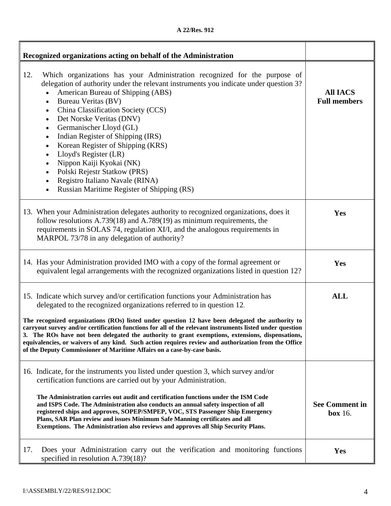| A 22/Res. 912 |  |
|---------------|--|
|---------------|--|

| Recognized organizations acting on behalf of the Administration                                                                                                                                                                                                                                                                                                                                                                                                                                                                                                                                                                                     |                                         |
|-----------------------------------------------------------------------------------------------------------------------------------------------------------------------------------------------------------------------------------------------------------------------------------------------------------------------------------------------------------------------------------------------------------------------------------------------------------------------------------------------------------------------------------------------------------------------------------------------------------------------------------------------------|-----------------------------------------|
| 12.<br>Which organizations has your Administration recognized for the purpose of<br>delegation of authority under the relevant instruments you indicate under question 3?<br>American Bureau of Shipping (ABS)<br>Bureau Veritas (BV)<br>$\bullet$<br>China Classification Society (CCS)<br>$\bullet$<br>Det Norske Veritas (DNV)<br>$\bullet$<br>Germanischer Lloyd (GL)<br>$\bullet$<br>Indian Register of Shipping (IRS)<br>Korean Register of Shipping (KRS)<br>Lloyd's Register (LR)<br>$\bullet$<br>Nippon Kaiji Kyokai (NK)<br>Polski Rejestr Statkow (PRS)<br>Registro Italiano Navale (RINA)<br>Russian Maritime Register of Shipping (RS) | <b>All IACS</b><br><b>Full members</b>  |
| 13. When your Administration delegates authority to recognized organizations, does it<br>follow resolutions $A.739(18)$ and $A.789(19)$ as minimum requirements, the<br>requirements in SOLAS 74, regulation XI/I, and the analogous requirements in<br>MARPOL 73/78 in any delegation of authority?                                                                                                                                                                                                                                                                                                                                                | Yes                                     |
| 14. Has your Administration provided IMO with a copy of the formal agreement or<br>equivalent legal arrangements with the recognized organizations listed in question 12?                                                                                                                                                                                                                                                                                                                                                                                                                                                                           | Yes                                     |
| 15. Indicate which survey and/or certification functions your Administration has<br>delegated to the recognized organizations referred to in question 12.                                                                                                                                                                                                                                                                                                                                                                                                                                                                                           | <b>ALL</b>                              |
| The recognized organizations (ROs) listed under question 12 have been delegated the authority to<br>carryout survey and/or certification functions for all of the relevant instruments listed under question<br>3. The ROs have not been delegated the authority to grant exemptions, extensions, dispensations,<br>equivalencies, or waivers of any kind. Such action requires review and authorization from the Office<br>of the Deputy Commissioner of Maritime Affairs on a case-by-case basis.                                                                                                                                                 |                                         |
| 16. Indicate, for the instruments you listed under question 3, which survey and/or<br>certification functions are carried out by your Administration.<br>The Administration carries out audit and certification functions under the ISM Code<br>and ISPS Code. The Administration also conducts an annual safety inspection of all<br>registered ships and approves, SOPEP/SMPEP, VOC, STS Passenger Ship Emergency<br>Plans, SAR Plan review and issues Minimum Safe Manning certificates and all<br>Exemptions. The Administration also reviews and approves all Ship Security Plans.                                                             | <b>See Comment in</b><br><b>box</b> 16. |
| 17.<br>Does your Administration carry out the verification and monitoring functions<br>specified in resolution $A.739(18)$ ?                                                                                                                                                                                                                                                                                                                                                                                                                                                                                                                        | Yes                                     |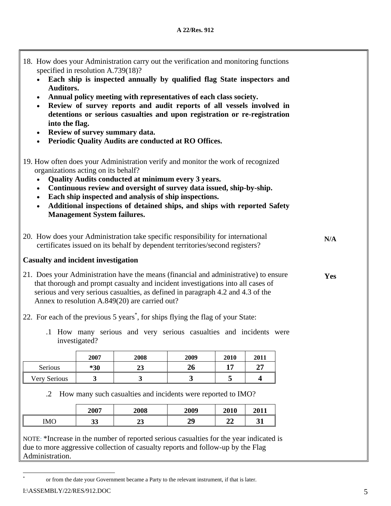| 18. How does your Administration carry out the verification and monitoring functions<br>specified in resolution A.739(18)?                                                                                                                                                                                                                                                                                                                                 |     |
|------------------------------------------------------------------------------------------------------------------------------------------------------------------------------------------------------------------------------------------------------------------------------------------------------------------------------------------------------------------------------------------------------------------------------------------------------------|-----|
| Each ship is inspected annually by qualified flag State inspectors and                                                                                                                                                                                                                                                                                                                                                                                     |     |
| <b>Auditors.</b><br>Annual policy meeting with representatives of each class society.<br>Review of survey reports and audit reports of all vessels involved in<br>detentions or serious casualties and upon registration or re-registration<br>into the flag.<br>Review of survey summary data.<br>$\bullet$<br>Periodic Quality Audits are conducted at RO Offices.<br>$\bullet$                                                                          |     |
| 19. How often does your Administration verify and monitor the work of recognized<br>organizations acting on its behalf?<br>Quality Audits conducted at minimum every 3 years.<br>Continuous review and oversight of survey data issued, ship-by-ship.<br>$\bullet$<br>Each ship inspected and analysis of ship inspections.<br>Additional inspections of detained ships, and ships with reported Safety<br>$\bullet$<br><b>Management System failures.</b> |     |
| 20. How does your Administration take specific responsibility for international<br>certificates issued on its behalf by dependent territories/second registers?                                                                                                                                                                                                                                                                                            | N/A |
| <b>Casualty and incident investigation</b>                                                                                                                                                                                                                                                                                                                                                                                                                 |     |
| 21. Does your Administration have the means (financial and administrative) to ensure<br>that thorough and prompt casualty and incident investigations into all cases of<br>serious and very serious casualties, as defined in paragraph 4.2 and 4.3 of the<br>Annex to resolution A.849(20) are carried out?                                                                                                                                               | Yes |
| 22. For each of the previous 5 years <sup>*</sup> , for ships flying the flag of your State:                                                                                                                                                                                                                                                                                                                                                               |     |
| .1 How many serious and very serious casualties and incidents were<br>investigated?                                                                                                                                                                                                                                                                                                                                                                        |     |

|                | 2007  | 2008      | 2009 | 2010 | 2011                 |
|----------------|-------|-----------|------|------|----------------------|
| <b>Serious</b> | $*30$ | າາ<br>د،∠ | ZU   |      | 27<br>$\overline{ }$ |
| Very Serious   |       | ີ         | ີ    |      |                      |

.2 How many such casualties and incidents were reported to IMO?

|            | 2007     | 2008 | 2009 | 2010     | 2011               |
|------------|----------|------|------|----------|--------------------|
| <b>IMO</b> | າາ<br>ມມ | ້⊿J  | 29   | Δg<br>◢◢ | $\mathbf{A}$<br>JT |

NOTE: \*Increase in the number of reported serious casualties for the year indicated is due to more aggressive collection of casualty reports and follow-up by the Flag Administration.

 $\overline{a}$ \*

or from the date your Government became a Party to the relevant instrument, if that is later.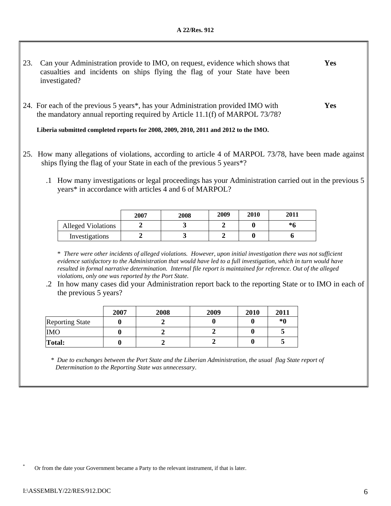- 23. Can your Administration provide to IMO, on request, evidence which shows that casualties and incidents on ships flying the flag of your State have been investigated? **Yes**
- 24. For each of the previous 5 years\*, has your Administration provided IMO with the mandatory annual reporting required by Article 11.1(f) of MARPOL 73/78? **Yes**

**Liberia submitted completed reports for 2008, 2009, 2010, 2011 and 2012 to the IMO.** 

- 25. How many allegations of violations, according to article 4 of MARPOL 73/78, have been made against ships flying the flag of your State in each of the previous 5 years\*?
	- .1 How many investigations or legal proceedings has your Administration carried out in the previous 5 years\* in accordance with articles 4 and 6 of MARPOL?

|                           | 2007 | 2008 | 2009 | 2010 | 2011 |
|---------------------------|------|------|------|------|------|
| <b>Alleged Violations</b> |      |      |      |      | *6   |
| Investigations            |      |      |      | 0    |      |

\* *There were other incidents of alleged violations. However, upon initial investigation there was not sufficient evidence satisfactory to the Administration that would have led to a full investigation, which in turn would have resulted in formal narrative determination. Internal file report is maintained for reference. Out of the alleged violations, only one was reported by the Port State.* 

.2 In how many cases did your Administration report back to the reporting State or to IMO in each of the previous 5 years?

|                        | 2007 | 2008 | 2009 | 2010 | 2011 |
|------------------------|------|------|------|------|------|
| <b>Reporting State</b> |      |      |      |      | *0   |
| <b>IMO</b>             |      |      |      |      |      |
| Total:                 |      |      |      |      | ັ    |

 *\* Due to exchanges between the Port State and the Liberian Administration, the usual flag State report of Determination to the Reporting State was unnecessary*.

Or from the date your Government became a Party to the relevant instrument, if that is later.

\*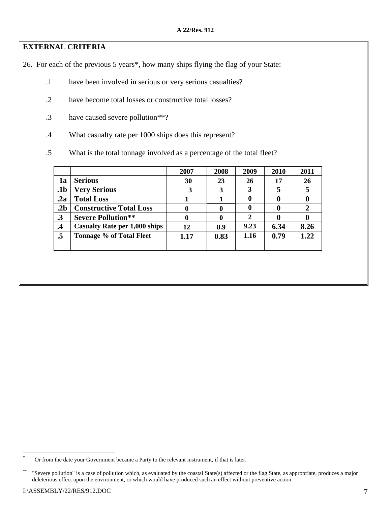### **EXTERNAL CRITERIA**

26. For each of the previous 5 years\*, how many ships flying the flag of your State:

- .1 have been involved in serious or very serious casualties?
- .2 have become total losses or constructive total losses?
- .3 have caused severe pollution\*\*?
- .4 What casualty rate per 1000 ships does this represent?
- .5 What is the total tonnage involved as a percentage of the total fleet?

|                 |                                      | 2007 | 2008 | 2009 | 2010        | 2011 |
|-----------------|--------------------------------------|------|------|------|-------------|------|
| 1a              | <b>Serious</b>                       | 30   | 23   | 26   | 17          | 26   |
| .1b             | <b>Very Serious</b>                  | 3    | 3    | 3    |             |      |
| .2a             | <b>Total Loss</b>                    |      |      | 0    | 0           |      |
| .2 <sub>b</sub> | <b>Constructive Total Loss</b>       |      | 0    | 0    | $\mathbf 0$ |      |
| $\cdot$ 3       | <b>Severe Pollution**</b>            |      | 0    | 2    |             |      |
| $\cdot$         | <b>Casualty Rate per 1,000 ships</b> | 12   | 8.9  | 9.23 | 6.34        | 8.26 |
| .5              | <b>Tonnage % of Total Fleet</b>      | 1.17 | 0.83 | 1.16 | 0.79        | 1.22 |
|                 |                                      |      |      |      |             |      |

 $\overline{a}$ 

<sup>\*</sup> Or from the date your Government became a Party to the relevant instrument, if that is later.

<sup>\*\* &</sup>quot;Severe pollution" is a case of pollution which, as evaluated by the coastal State(s) affected or the flag State, as appropriate, produces a major deleterious effect upon the environment, or which would have produced such an effect without preventive action.